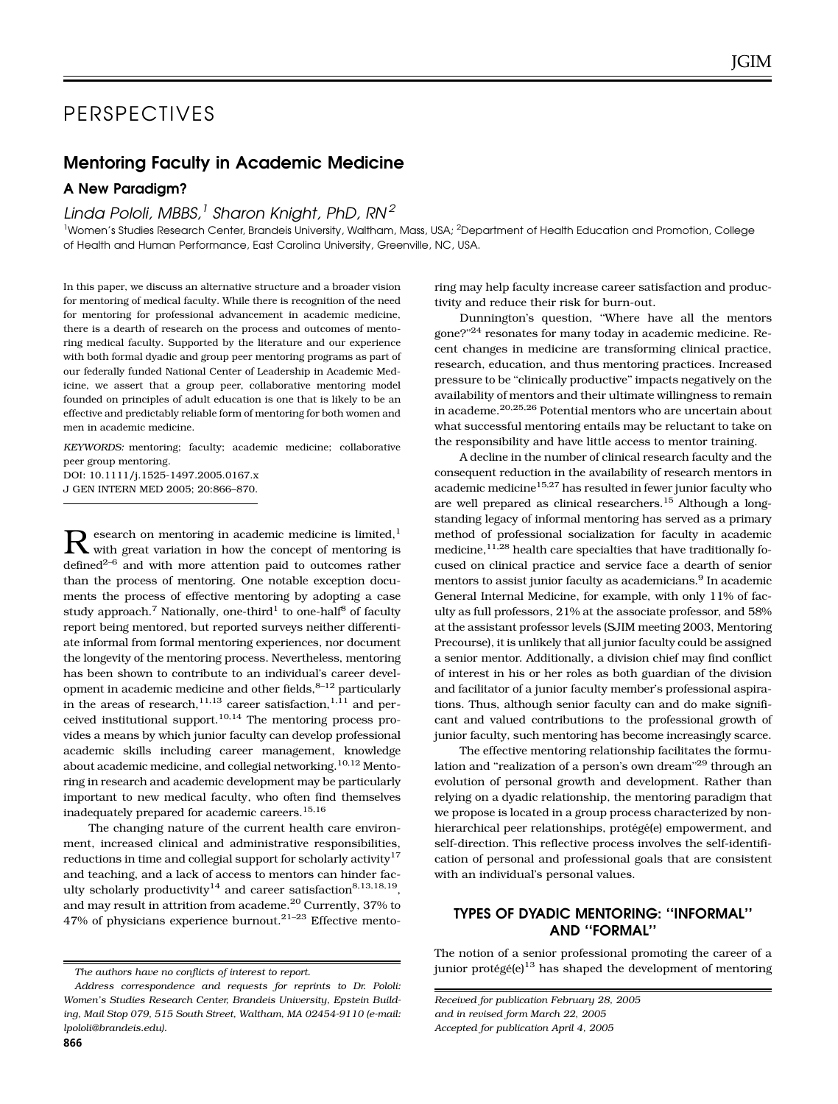# PERSPECTIVES

## Mentoring Faculty in Academic Medicine

## A New Paradigm?

Linda Pololi, MBBS, $^{\rm 1}$  Sharon Knight, PhD, RN $^{\rm 2}$ 

<sup>1</sup>Women's Studies Research Center, Brandeis University, Waltham, Mass, USA; <sup>2</sup>Department of Health Education and Promotion, College of Health and Human Performance, East Carolina University, Greenville, NC, USA.

In this paper, we discuss an alternative structure and a broader vision for mentoring of medical faculty. While there is recognition of the need for mentoring for professional advancement in academic medicine, there is a dearth of research on the process and outcomes of mentoring medical faculty. Supported by the literature and our experience with both formal dyadic and group peer mentoring programs as part of our federally funded National Center of Leadership in Academic Medicine, we assert that a group peer, collaborative mentoring model founded on principles of adult education is one that is likely to be an effective and predictably reliable form of mentoring for both women and men in academic medicine.

KEYWORDS: mentoring; faculty; academic medicine; collaborative peer group mentoring.

DOI: 10.1111/j.1525-1497.2005.0167.x J GEN INTERN MED 2005; 20:866–870.

 $\mathbf{R}$  esearch on mentoring in academic medicine is limited,<sup>1</sup> defined2–6 and with more attention paid to outcomes rather than the process of mentoring. One notable exception documents the process of effective mentoring by adopting a case study approach.<sup>7</sup> Nationally, one-third<sup>1</sup> to one-half<sup>8</sup> of faculty report being mentored, but reported surveys neither differentiate informal from formal mentoring experiences, nor document the longevity of the mentoring process. Nevertheless, mentoring has been shown to contribute to an individual's career development in academic medicine and other fields, $8-12$  particularly in the areas of research,<sup>11,13</sup> career satisfaction,<sup>1,11</sup> and perceived institutional support.10,14 The mentoring process provides a means by which junior faculty can develop professional academic skills including career management, knowledge about academic medicine, and collegial networking.<sup>10,12</sup> Mentoring in research and academic development may be particularly important to new medical faculty, who often find themselves inadequately prepared for academic careers.<sup>15,16</sup>

The changing nature of the current health care environment, increased clinical and administrative responsibilities, reductions in time and collegial support for scholarly activity  $^{17}$ and teaching, and a lack of access to mentors can hinder faculty scholarly productivity<sup>14</sup> and career satisfaction<sup>8,13,18,19</sup>, and may result in attrition from academe.<sup>20</sup> Currently, 37% to 47% of physicians experience burnout.21–23 Effective mentoring may help faculty increase career satisfaction and productivity and reduce their risk for burn-out.

Dunnington's question, ''Where have all the mentors gone?"<sup>24</sup> resonates for many today in academic medicine. Recent changes in medicine are transforming clinical practice, research, education, and thus mentoring practices. Increased pressure to be ''clinically productive'' impacts negatively on the availability of mentors and their ultimate willingness to remain in academe. $^{20,25,26}$  Potential mentors who are uncertain about what successful mentoring entails may be reluctant to take on the responsibility and have little access to mentor training.

A decline in the number of clinical research faculty and the consequent reduction in the availability of research mentors in academic medicine $15,27$  has resulted in fewer junior faculty who are well prepared as clinical researchers.<sup>15</sup> Although a longstanding legacy of informal mentoring has served as a primary method of professional socialization for faculty in academic medicine, $11,28$  health care specialties that have traditionally focused on clinical practice and service face a dearth of senior mentors to assist junior faculty as academicians.<sup>9</sup> In academic General Internal Medicine, for example, with only 11% of faculty as full professors, 21% at the associate professor, and 58% at the assistant professor levels (SJIM meeting 2003, Mentoring Precourse), it is unlikely that all junior faculty could be assigned a senior mentor. Additionally, a division chief may find conflict of interest in his or her roles as both guardian of the division and facilitator of a junior faculty member's professional aspirations. Thus, although senior faculty can and do make significant and valued contributions to the professional growth of junior faculty, such mentoring has become increasingly scarce.

The effective mentoring relationship facilitates the formulation and "realization of a person's own dream"<sup>29</sup> through an evolution of personal growth and development. Rather than relying on a dyadic relationship, the mentoring paradigm that we propose is located in a group process characterized by nonhierarchical peer relationships, protégé(e) empowerment, and self-direction. This reflective process involves the self-identification of personal and professional goals that are consistent with an individual's personal values.

## TYPES OF DYADIC MENTORING: ''INFORMAL'' AND ''FORMAL''

The notion of a senior professional promoting the career of a junior protégé $(e)^{13}$  has shaped the development of mentoring

The authors have no conflicts of interest to report.

Address correspondence and requests for reprints to Dr. Pololi: Women's Studies Research Center, Brandeis University, Epstein Building, Mail Stop 079, 515 South Street, Waltham, MA 02454-9110 (e-mail: lpololi@brandeis.edu).

Received for publication February 28, 2005 and in revised form March 22, 2005 Accepted for publication April 4, 2005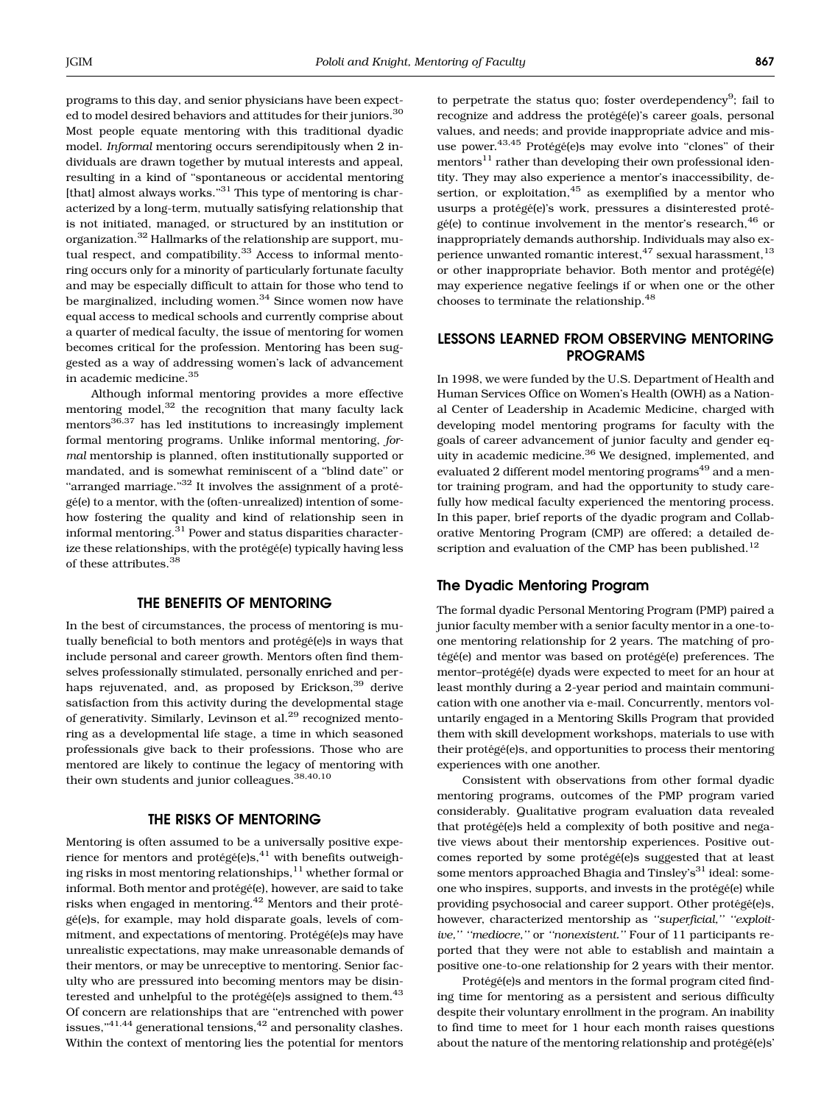programs to this day, and senior physicians have been expected to model desired behaviors and attitudes for their juniors.  $\rm ^{30}$ Most people equate mentoring with this traditional dyadic model. Informal mentoring occurs serendipitously when 2 individuals are drawn together by mutual interests and appeal, resulting in a kind of ''spontaneous or accidental mentoring [that] almost always works." $31$  This type of mentoring is characterized by a long-term, mutually satisfying relationship that is not initiated, managed, or structured by an institution or organization.32 Hallmarks of the relationship are support, mutual respect, and compatibility.<sup>33</sup> Access to informal mentoring occurs only for a minority of particularly fortunate faculty and may be especially difficult to attain for those who tend to be marginalized, including women.<sup>34</sup> Since women now have equal access to medical schools and currently comprise about a quarter of medical faculty, the issue of mentoring for women becomes critical for the profession. Mentoring has been suggested as a way of addressing women's lack of advancement in academic medicine.<sup>35</sup>

Although informal mentoring provides a more effective mentoring model, $32$  the recognition that many faculty lack mentors<sup>36,37</sup> has led institutions to increasingly implement formal mentoring programs. Unlike informal mentoring, formal mentorship is planned, often institutionally supported or mandated, and is somewhat reminiscent of a ''blind date'' or "arranged marriage." $^{32}$  It involves the assignment of a protégé(e) to a mentor, with the (often-unrealized) intention of somehow fostering the quality and kind of relationship seen in informal mentoring.<sup>31</sup> Power and status disparities characterize these relationships, with the protégé(e) typically having less of these attributes.<sup>38</sup>

### THE BENEFITS OF MENTORING

In the best of circumstances, the process of mentoring is mutually beneficial to both mentors and protégé(e)s in ways that include personal and career growth. Mentors often find themselves professionally stimulated, personally enriched and perhaps rejuvenated, and, as proposed by Erickson, <sup>39</sup> derive satisfaction from this activity during the developmental stage of generativity. Similarly, Levinson et al.<sup>29</sup> recognized mentoring as a developmental life stage, a time in which seasoned professionals give back to their professions. Those who are mentored are likely to continue the legacy of mentoring with their own students and junior colleagues.<sup>38,40,10</sup>

### THE RISKS OF MENTORING

Mentoring is often assumed to be a universally positive experience for mentors and protégé $(e)$ s,<sup>41</sup> with benefits outweighing risks in most mentoring relationships,  $11$  whether formal or informal. Both mentor and protégé(e), however, are said to take risks when engaged in mentoring. $^{42}$  Mentors and their protégé(e)s, for example, may hold disparate goals, levels of commitment, and expectations of mentoring. Protégé(e)s may have unrealistic expectations, may make unreasonable demands of their mentors, or may be unreceptive to mentoring. Senior faculty who are pressured into becoming mentors may be disinterested and unhelpful to the protégé(e)s assigned to them. $^{43}$ Of concern are relationships that are ''entrenched with power issues," $41,44$  generational tensions, $42$  and personality clashes. Within the context of mentoring lies the potential for mentors

to perpetrate the status quo; foster overdependency<sup>9</sup>; fail to recognize and address the protégé(e)'s career goals, personal values, and needs; and provide inappropriate advice and misuse power.<sup>43,45</sup> Protégé(e)s may evolve into "clones" of their  $mentors<sup>11</sup>$  rather than developing their own professional identity. They may also experience a mentor's inaccessibility, desertion, or exploitation,  $45$  as exemplified by a mentor who usurps a protégé(e)'s work, pressures a disinterested proté $g\acute{e}$ (e) to continue involvement in the mentor's research,  $46$  or inappropriately demands authorship. Individuals may also experience unwanted romantic interest,  $47$  sexual harassment,  $13$ or other inappropriate behavior. Both mentor and protégé(e) may experience negative feelings if or when one or the other chooses to terminate the relationship.48

## LESSONS LEARNED FROM OBSERVING MENTORING PROGRAMS

In 1998, we were funded by the U.S. Department of Health and Human Services Office on Women's Health (OWH) as a National Center of Leadership in Academic Medicine, charged with developing model mentoring programs for faculty with the goals of career advancement of junior faculty and gender equity in academic medicine.36 We designed, implemented, and evaluated 2 different model mentoring programs<sup>49</sup> and a mentor training program, and had the opportunity to study carefully how medical faculty experienced the mentoring process. In this paper, brief reports of the dyadic program and Collaborative Mentoring Program (CMP) are offered; a detailed description and evaluation of the CMP has been published.<sup>12</sup>

#### The Dyadic Mentoring Program

The formal dyadic Personal Mentoring Program (PMP) paired a junior faculty member with a senior faculty mentor in a one-toone mentoring relationship for 2 years. The matching of protégé(e) and mentor was based on protégé(e) preferences. The mentor-protégé(e) dyads were expected to meet for an hour at least monthly during a 2-year period and maintain communication with one another via e-mail. Concurrently, mentors voluntarily engaged in a Mentoring Skills Program that provided them with skill development workshops, materials to use with their protégé(e)s, and opportunities to process their mentoring experiences with one another.

Consistent with observations from other formal dyadic mentoring programs, outcomes of the PMP program varied considerably. Qualitative program evaluation data revealed that protégé(e)s held a complexity of both positive and negative views about their mentorship experiences. Positive outcomes reported by some protégé(e)s suggested that at least some mentors approached Bhagia and Tinsley's<sup>31</sup> ideal: someone who inspires, supports, and invests in the protégé(e) while providing psychosocial and career support. Other protégé(e)s, however, characterized mentorship as "superficial," "exploitive," "mediocre," or "nonexistent." Four of 11 participants reported that they were not able to establish and maintain a positive one-to-one relationship for 2 years with their mentor.

Protégé(e)s and mentors in the formal program cited finding time for mentoring as a persistent and serious difficulty despite their voluntary enrollment in the program. An inability to find time to meet for 1 hour each month raises questions about the nature of the mentoring relationship and protégé(e)s'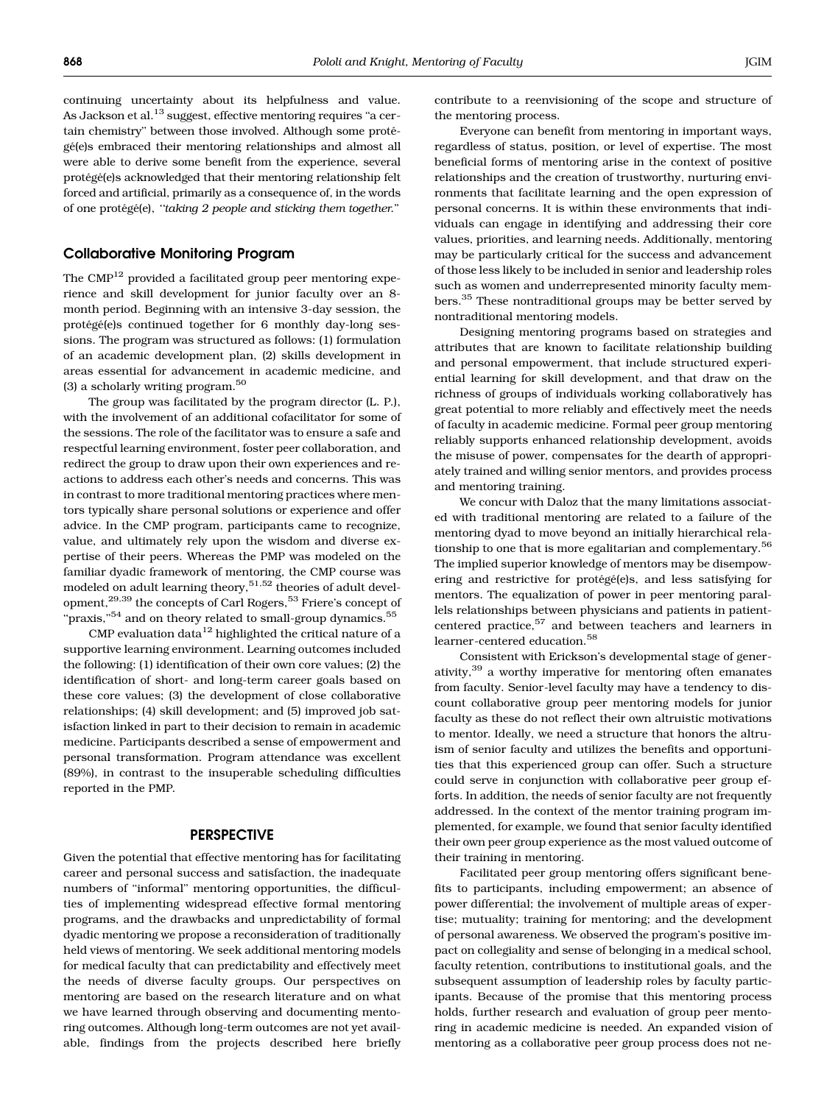continuing uncertainty about its helpfulness and value. As Jackson et al.<sup>13</sup> suggest, effective mentoring requires "a certain chemistry" between those involved. Although some protégé(e)s embraced their mentoring relationships and almost all were able to derive some benefit from the experience, several protégé(e)s acknowledged that their mentoring relationship felt forced and artificial, primarily as a consequence of, in the words

of one protégé(e), "taking 2 people and sticking them together."

#### Collaborative Monitoring Program

The CMP<sup>12</sup> provided a facilitated group peer mentoring experience and skill development for junior faculty over an 8 month period. Beginning with an intensive 3-day session, the protégé(e)s continued together for 6 monthly day-long sessions. The program was structured as follows: (1) formulation of an academic development plan, (2) skills development in areas essential for advancement in academic medicine, and (3) a scholarly writing program.50

The group was facilitated by the program director (L. P.), with the involvement of an additional cofacilitator for some of the sessions. The role of the facilitator was to ensure a safe and respectful learning environment, foster peer collaboration, and redirect the group to draw upon their own experiences and reactions to address each other's needs and concerns. This was in contrast to more traditional mentoring practices where mentors typically share personal solutions or experience and offer advice. In the CMP program, participants came to recognize, value, and ultimately rely upon the wisdom and diverse expertise of their peers. Whereas the PMP was modeled on the familiar dyadic framework of mentoring, the CMP course was modeled on adult learning theory,  $51,52$  theories of adult development,29,39 the concepts of Carl Rogers,<sup>53</sup> Friere's concept of "praxis," $54$  and on theory related to small-group dynamics. $^{55}$ 

CMP evaluation data $^{12}$  highlighted the critical nature of a supportive learning environment. Learning outcomes included the following: (1) identification of their own core values; (2) the identification of short- and long-term career goals based on these core values; (3) the development of close collaborative relationships; (4) skill development; and (5) improved job satisfaction linked in part to their decision to remain in academic medicine. Participants described a sense of empowerment and personal transformation. Program attendance was excellent (89%), in contrast to the insuperable scheduling difficulties reported in the PMP.

#### **PERSPECTIVE**

Given the potential that effective mentoring has for facilitating career and personal success and satisfaction, the inadequate numbers of ''informal'' mentoring opportunities, the difficulties of implementing widespread effective formal mentoring programs, and the drawbacks and unpredictability of formal dyadic mentoring we propose a reconsideration of traditionally held views of mentoring. We seek additional mentoring models for medical faculty that can predictability and effectively meet the needs of diverse faculty groups. Our perspectives on mentoring are based on the research literature and on what we have learned through observing and documenting mentoring outcomes. Although long-term outcomes are not yet available, findings from the projects described here briefly contribute to a reenvisioning of the scope and structure of the mentoring process.

Everyone can benefit from mentoring in important ways, regardless of status, position, or level of expertise. The most beneficial forms of mentoring arise in the context of positive relationships and the creation of trustworthy, nurturing environments that facilitate learning and the open expression of personal concerns. It is within these environments that individuals can engage in identifying and addressing their core values, priorities, and learning needs. Additionally, mentoring may be particularly critical for the success and advancement of those less likely to be included in senior and leadership roles such as women and underrepresented minority faculty members.35 These nontraditional groups may be better served by nontraditional mentoring models.

Designing mentoring programs based on strategies and attributes that are known to facilitate relationship building and personal empowerment, that include structured experiential learning for skill development, and that draw on the richness of groups of individuals working collaboratively has great potential to more reliably and effectively meet the needs of faculty in academic medicine. Formal peer group mentoring reliably supports enhanced relationship development, avoids the misuse of power, compensates for the dearth of appropriately trained and willing senior mentors, and provides process and mentoring training.

We concur with Daloz that the many limitations associated with traditional mentoring are related to a failure of the mentoring dyad to move beyond an initially hierarchical relationship to one that is more egalitarian and complementary.<sup>56</sup> The implied superior knowledge of mentors may be disempowering and restrictive for protégé(e)s, and less satisfying for mentors. The equalization of power in peer mentoring parallels relationships between physicians and patients in patientcentered practice,<sup>57</sup> and between teachers and learners in learner-centered education.<sup>58</sup>

Consistent with Erickson's developmental stage of generativity,<sup>39</sup> a worthy imperative for mentoring often emanates from faculty. Senior-level faculty may have a tendency to discount collaborative group peer mentoring models for junior faculty as these do not reflect their own altruistic motivations to mentor. Ideally, we need a structure that honors the altruism of senior faculty and utilizes the benefits and opportunities that this experienced group can offer. Such a structure could serve in conjunction with collaborative peer group efforts. In addition, the needs of senior faculty are not frequently addressed. In the context of the mentor training program implemented, for example, we found that senior faculty identified their own peer group experience as the most valued outcome of their training in mentoring.

Facilitated peer group mentoring offers significant benefits to participants, including empowerment; an absence of power differential; the involvement of multiple areas of expertise; mutuality; training for mentoring; and the development of personal awareness. We observed the program's positive impact on collegiality and sense of belonging in a medical school, faculty retention, contributions to institutional goals, and the subsequent assumption of leadership roles by faculty participants. Because of the promise that this mentoring process holds, further research and evaluation of group peer mentoring in academic medicine is needed. An expanded vision of mentoring as a collaborative peer group process does not ne-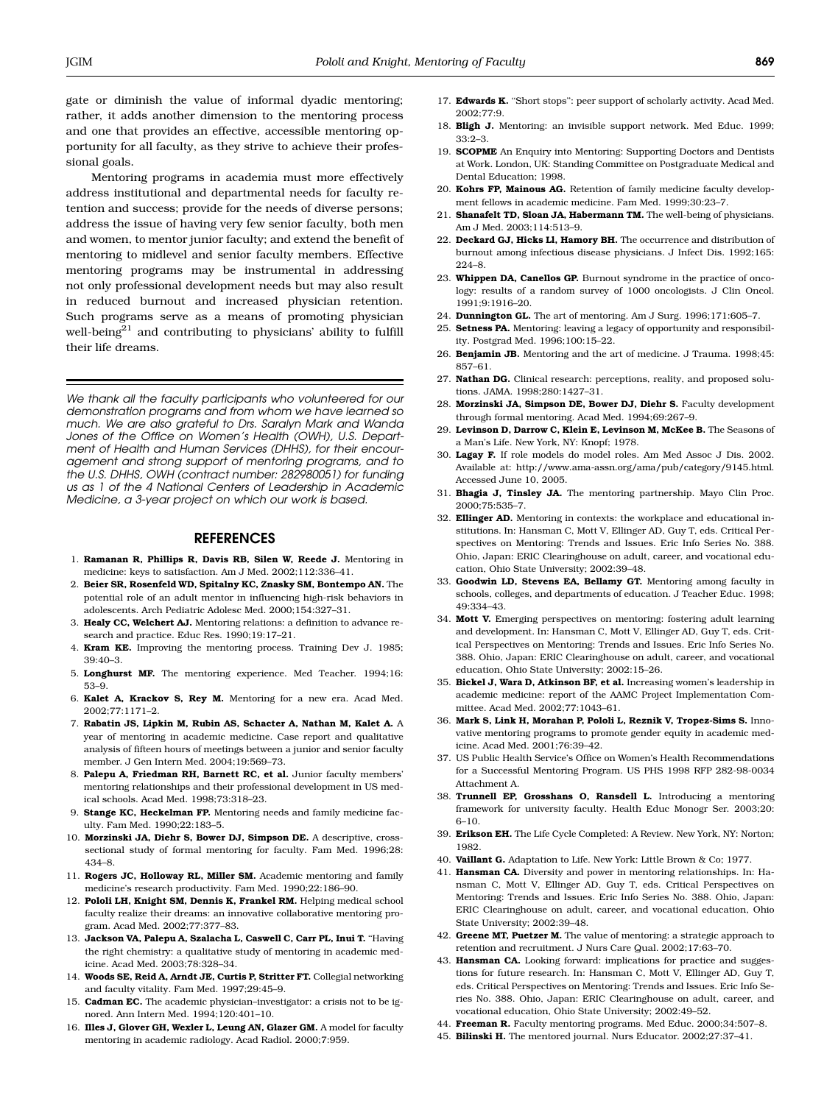gate or diminish the value of informal dyadic mentoring; rather, it adds another dimension to the mentoring process and one that provides an effective, accessible mentoring opportunity for all faculty, as they strive to achieve their professional goals.

Mentoring programs in academia must more effectively address institutional and departmental needs for faculty retention and success; provide for the needs of diverse persons; address the issue of having very few senior faculty, both men and women, to mentor junior faculty; and extend the benefit of mentoring to midlevel and senior faculty members. Effective mentoring programs may be instrumental in addressing not only professional development needs but may also result in reduced burnout and increased physician retention. Such programs serve as a means of promoting physician well-being $21$  and contributing to physicians' ability to fulfill their life dreams.

We thank all the faculty participants who volunteered for our demonstration programs and from whom we have learned so much. We are also grateful to Drs. Saralyn Mark and Wanda Jones of the Office on Women's Health (OWH), U.S. Department of Health and Human Services (DHHS), for their encouragement and strong support of mentoring programs, and to the U.S. DHHS, OWH (contract number: 282980051) for funding us as 1 of the 4 National Centers of Leadership in Academic Medicine, a 3-year project on which our work is based.

#### **REFERENCES**

- 1. Ramanan R, Phillips R, Davis RB, Silen W, Reede J. Mentoring in medicine: keys to satisfaction. Am J Med. 2002;112:336–41.
- 2. Beier SR, Rosenfeld WD, Spitalny KC, Znasky SM, Bontempo AN. The potential role of an adult mentor in influencing high-risk behaviors in adolescents. Arch Pediatric Adolesc Med. 2000;154:327–31.
- 3. Healy CC, Welchert AJ. Mentoring relations: a definition to advance research and practice. Educ Res. 1990;19:17–21.
- 4. Kram KE. Improving the mentoring process. Training Dev J. 1985; 39:40–3.
- 5. Longhurst MF. The mentoring experience. Med Teacher. 1994;16: 53–9.
- 6. Kalet A, Krackov S, Rey M. Mentoring for a new era. Acad Med. 2002;77:1171–2.
- 7. Rabatin JS, Lipkin M, Rubin AS, Schacter A, Nathan M, Kalet A. A year of mentoring in academic medicine. Case report and qualitative analysis of fifteen hours of meetings between a junior and senior faculty member. J Gen Intern Med. 2004;19:569–73.
- 8. Palepu A, Friedman RH, Barnett RC, et al. Junior faculty members' mentoring relationships and their professional development in US medical schools. Acad Med. 1998;73:318–23.
- 9. Stange KC, Heckelman FP. Mentoring needs and family medicine faculty. Fam Med. 1990;22:183–5.
- 10. Morzinski JA, Diehr S, Bower DJ, Simpson DE. A descriptive, crosssectional study of formal mentoring for faculty. Fam Med. 1996;28: 434–8.
- 11. Rogers JC, Holloway RL, Miller SM. Academic mentoring and family medicine's research productivity. Fam Med. 1990;22:186–90.
- 12. Pololi LH, Knight SM, Dennis K, Frankel RM. Helping medical school faculty realize their dreams: an innovative collaborative mentoring program. Acad Med. 2002;77:377–83.
- 13. Jackson VA, Palepu A, Szalacha L, Caswell C, Carr PL, Inui T. "Having the right chemistry: a qualitative study of mentoring in academic medicine. Acad Med. 2003;78:328–34.
- 14. Woods SE, Reid A, Arndt JE, Curtis P, Stritter FT. Collegial networking and faculty vitality. Fam Med. 1997;29:45–9.
- 15. Cadman EC. The academic physician-investigator: a crisis not to be ignored. Ann Intern Med. 1994;120:401–10.
- 16. Illes J, Glover GH, Wexler L, Leung AN, Glazer GM. A model for faculty mentoring in academic radiology. Acad Radiol. 2000;7:959.
- 17. Edwards K. "Short stops": peer support of scholarly activity. Acad Med. 2002;77:9.
- 18. Bligh J. Mentoring: an invisible support network. Med Educ. 1999; 33:2–3.
- 19. **SCOPME** An Enquiry into Mentoring: Supporting Doctors and Dentists at Work. London, UK: Standing Committee on Postgraduate Medical and Dental Education; 1998.
- 20. Kohrs FP, Mainous AG. Retention of family medicine faculty development fellows in academic medicine. Fam Med. 1999;30:23–7.
- 21. Shanafelt TD, Sloan JA, Habermann TM. The well-being of physicians. Am J Med. 2003;114:513–9.
- 22. Deckard GJ, Hicks Ll, Hamory BH. The occurrence and distribution of burnout among infectious disease physicians. J Infect Dis. 1992;165: 224–8.
- 23. Whippen DA, Canellos GP. Burnout syndrome in the practice of oncology: results of a random survey of 1000 oncologists. J Clin Oncol. 1991;9:1916–20.
- 24. Dunnington GL. The art of mentoring. Am J Surg. 1996;171:605–7.
- 25. Setness PA. Mentoring: leaving a legacy of opportunity and responsibility. Postgrad Med. 1996;100:15–22.
- 26. Benjamin JB. Mentoring and the art of medicine. J Trauma. 1998;45: 857–61.
- 27. Nathan DG. Clinical research: perceptions, reality, and proposed solutions. JAMA. 1998;280:1427–31.
- 28. Morzinski JA, Simpson DE, Bower DJ, Diehr S. Faculty development through formal mentoring. Acad Med. 1994;69:267–9.
- 29. Levinson D, Darrow C, Klein E, Levinson M, McKee B. The Seasons of a Man's Life. New York, NY: Knopf; 1978.
- 30. Lagay F. If role models do model roles. Am Med Assoc J Dis. 2002. Available at: http://www.ama-assn.org/ama/pub/category/9145.html. Accessed June 10, 2005.
- 31. Bhagia J, Tinsley JA. The mentoring partnership. Mayo Clin Proc. 2000;75:535–7.
- 32. Ellinger AD. Mentoring in contexts: the workplace and educational institutions. In: Hansman C, Mott V, Ellinger AD, Guy T, eds. Critical Perspectives on Mentoring: Trends and Issues. Eric Info Series No. 388. Ohio, Japan: ERIC Clearinghouse on adult, career, and vocational education, Ohio State University; 2002:39–48.
- 33. Goodwin LD, Stevens EA, Bellamy GT. Mentoring among faculty in schools, colleges, and departments of education. J Teacher Educ. 1998; 49:334–43.
- 34. Mott V. Emerging perspectives on mentoring: fostering adult learning and development. In: Hansman C, Mott V, Ellinger AD, Guy T, eds. Critical Perspectives on Mentoring: Trends and Issues. Eric Info Series No. 388. Ohio, Japan: ERIC Clearinghouse on adult, career, and vocational education, Ohio State University; 2002:15–26.
- 35. Bickel J, Wara D, Atkinson BF, et al. Increasing women's leadership in academic medicine: report of the AAMC Project Implementation Committee. Acad Med. 2002;77:1043–61.
- 36. Mark S, Link H, Morahan P, Pololi L, Reznik V, Tropez-Sims S. Innovative mentoring programs to promote gender equity in academic medicine. Acad Med. 2001;76:39–42.
- 37. US Public Health Service's Office on Women's Health Recommendations for a Successful Mentoring Program. US PHS 1998 RFP 282-98-0034 Attachment A.
- 38. Trunnell EP, Grosshans O, Ransdell L. Introducing a mentoring framework for university faculty. Health Educ Monogr Ser. 2003;20: 6–10.
- 39. Erikson EH. The Life Cycle Completed: A Review. New York, NY: Norton; 1982.
- 40. Vaillant G. Adaptation to Life. New York: Little Brown & Co; 1977.
- 41. Hansman CA. Diversity and power in mentoring relationships. In: Hansman C, Mott V, Ellinger AD, Guy T, eds. Critical Perspectives on Mentoring: Trends and Issues. Eric Info Series No. 388. Ohio, Japan: ERIC Clearinghouse on adult, career, and vocational education, Ohio State University; 2002:39–48.
- 42. Greene MT, Puetzer M. The value of mentoring: a strategic approach to retention and recruitment. J Nurs Care Qual. 2002;17:63–70.
- 43. Hansman CA. Looking forward: implications for practice and suggestions for future research. In: Hansman C, Mott V, Ellinger AD, Guy T, eds. Critical Perspectives on Mentoring: Trends and Issues. Eric Info Series No. 388. Ohio, Japan: ERIC Clearinghouse on adult, career, and vocational education, Ohio State University; 2002:49–52.
- 44. Freeman R. Faculty mentoring programs. Med Educ. 2000;34:507–8.
- 45. Bilinski H. The mentored journal. Nurs Educator. 2002;27:37–41.